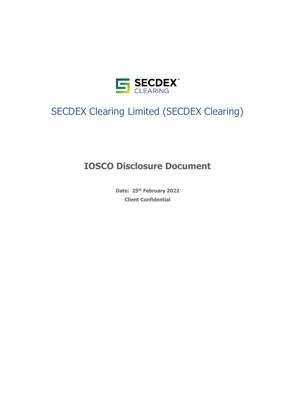

# SECDEX Clearing Limited (SECDEX Clearing)

# **IOSCO Disclosure Document**

**Date: 25th February 2022 Client Confidential**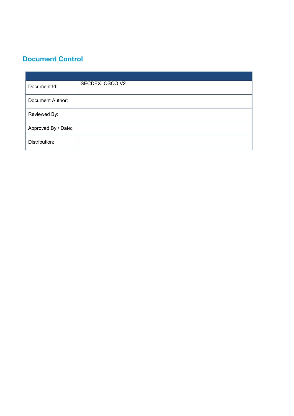# **Document Control**

| Document Id:        | SECDEX IOSCO V2 |
|---------------------|-----------------|
| Document Author:    |                 |
| Reviewed By:        |                 |
| Approved By / Date: |                 |
| Distribution:       |                 |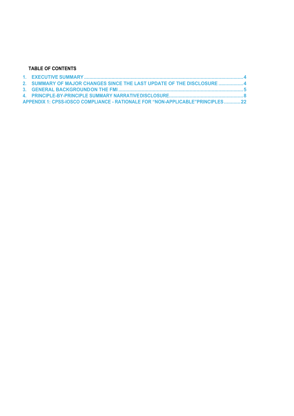#### **TABLE OF CONTENTS**

| 2. SUMMARY OF MAJOR CHANGES SINCE THE LAST UPDATE OF THE DISCLOSURE  4          |  |
|---------------------------------------------------------------------------------|--|
|                                                                                 |  |
|                                                                                 |  |
| APPENDIX 1: CPSS-IOSCO COMPLIANCE - RATIONALE FOR "NON-APPLICABLE" PRINCIPLES22 |  |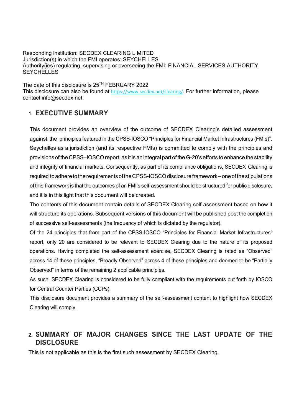Responding institution: SECDEX CLEARING LIMITED Jurisdiction(s) in which the FMI operates: SEYCHELLES Authority(ies) regulating, supervising or overseeing the FMI: FINANCIAL SERVICES AUTHORITY, **SEYCHELLES** 

The date of this disclosure is  $25<sup>TH</sup> FEBRUARY 2022$ This disclosure can also be found at https://www.secdex.net/clearing/. For further information, please contact info@secdex.net.

# **1. EXECUTIVE SUMMARY**

This document provides an overview of the outcome of SECDEX Clearing's detailed assessment against the principles featured in the CPSS-IOSCO "Principles for Financial Market Infrastructures (FMIs)". Seychelles as a jurisdiction (and its respective FMIs) is committed to comply with the principles and provisions of the CPSS–IOSCOreport, as it is an integral part of the G-20's efforts to enhance the stability and integrity of financial markets. Consequently, as part of its compliance obligations, SECDEX Clearing is required to adhere to the requirements of the CPSS-IOSCO disclosure framework–one of the stipulations of this framework is that the outcomes of an FMI's self-assessment should be structured for public disclosure, and it is in this light that this document will be created.

The contents of this document contain details of SECDEX Clearing self-assessment based on how it will structure its operations. Subsequent versions of this document will be published post the completion of successive self-assessments (the frequency of which is dictated by the regulator).

Of the 24 principles that from part of the CPSS-IOSCO "Principles for Financial Market Infrastructures" report, only 20 are considered to be relevant to SECDEX Clearing due to the nature of its proposed operations. Having completed the self-assessment exercise, SECDEX Clearing is rated as "Observed" across 14 of these principles, "Broadly Observed" across 4 of these principles and deemed to be "Partially Observed" in terms of the remaining 2 applicable principles.

As such, SECDEX Clearing is considered to be fully compliant with the requirements put forth by IOSCO for Central Counter Parties (CCPs).

This disclosure document provides a summary of the self-assessment content to highlight how SECDEX Clearing will comply.

# **2. SUMMARY OF MAJOR CHANGES SINCE THE LAST UPDATE OF THE DISCLOSURE**

This is not applicable as this is the first such assessment by SECDEX Clearing.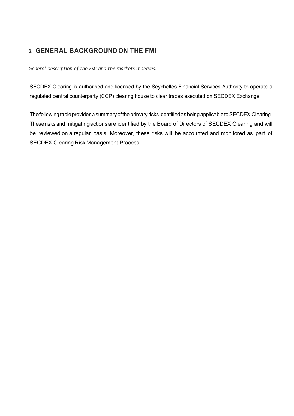# **3. GENERAL BACKGROUNDON THE FMI**

*General description of the FMI and the markets it serves:*

SECDEX Clearing is authorised and licensed by the Seychelles Financial Services Authority to operate a regulated central counterparty (CCP) clearing house to clear trades executed on SECDEX Exchange.

The following table provides a summary of the primary risks identified as being applicable to SECDEX Clearing. These risks and mitigatingactionsare identified by the Board of Directors of SECDEX Clearing and will be reviewed on a regular basis. Moreover, these risks will be accounted and monitored as part of SECDEX Clearing Risk Management Process.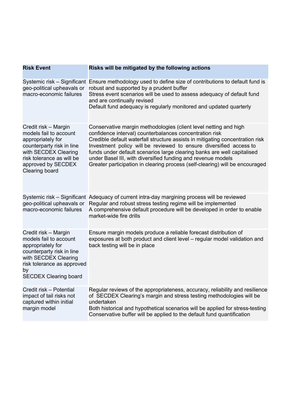| <b>Risk Event</b>                                                                                                                                                                             | Risks will be mitigated by the following actions                                                                                                                                                                                                                                                                                                                                                                                                                                                              |
|-----------------------------------------------------------------------------------------------------------------------------------------------------------------------------------------------|---------------------------------------------------------------------------------------------------------------------------------------------------------------------------------------------------------------------------------------------------------------------------------------------------------------------------------------------------------------------------------------------------------------------------------------------------------------------------------------------------------------|
| geo-political upheavals or<br>macro-economic failures                                                                                                                                         | Systemic risk – Significant Ensure methodology used to define size of contributions to default fund is<br>robust and supported by a prudent buffer<br>Stress event scenarios will be used to assess adequacy of default fund<br>and are continually revised<br>Default fund adequacy is regularly monitored and updated quarterly                                                                                                                                                                             |
| Credit risk - Margin<br>models fail to account<br>appropriately for<br>counterparty risk in line<br>with SECDEX Clearing<br>risk tolerance as will be<br>approved by SECDEX<br>Clearing board | Conservative margin methodologies (client level netting and high<br>confidence interval) counterbalances concentration risk<br>Credible default waterfall structure assists in mitigating concentration risk<br>Investment policy will be reviewed to ensure diversified access to<br>funds under default scenarios large clearing banks are well capitalised<br>under Basel III, with diversified funding and revenue models<br>Greater participation in clearing process (self-clearing) will be encouraged |
| macro-economic failures                                                                                                                                                                       | Systemic risk - Significant Adequacy of current intra-day margining process will be reviewed<br>geo-political upheavals or Regular and robust stress testing regime will be implemented<br>A comprehensive default procedure will be developed in order to enable<br>market-wide fire drills                                                                                                                                                                                                                  |
| Credit risk - Margin<br>models fail to account<br>appropriately for<br>counterparty risk in line<br>with SECDEX Clearing<br>risk tolerance as approved<br>by<br><b>SECDEX Clearing board</b>  | Ensure margin models produce a reliable forecast distribution of<br>exposures at both product and client level - regular model validation and<br>back testing will be in place                                                                                                                                                                                                                                                                                                                                |
| Credit risk - Potential<br>impact of tail risks not<br>captured within initial<br>margin model                                                                                                | Regular reviews of the appropriateness, accuracy, reliability and resilience<br>of SECDEX Clearing's margin and stress testing methodologies will be<br>undertaken<br>Both historical and hypothetical scenarios will be applied for stress-testing<br>Conservative buffer will be applied to the default fund quantification                                                                                                                                                                                 |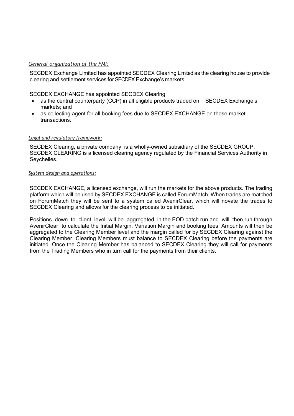### *General organization of the FMI:*

SECDEX Exchange Limited has appointed SECDEX Clearing Limited as the clearing house to provide clearing and settlement services for SECDEX Exchange's markets.

SECDEX EXCHANGE has appointed SECDEX Clearing:

- as the central counterparty (CCP) in all eligible products traded on SECDEX Exchange's markets; and
- as collecting agent for all booking fees due to SECDEX EXCHANGE on those market transactions.

#### *Legal and regulatory framework:*

SECDEX Clearing, a private company, is a wholly-owned subsidiary of the SECDEX GROUP. SECDEX CLEARING is a licensed clearing agency regulated by the Financial Services Authority in Seychelles.

#### *System design and operations:*

SECDEX EXCHANGE, a licensed exchange, will run the markets for the above products. The trading platform which will be used by SECDEX EXCHANGE is called ForumMatch. When trades are matched on ForumMatch they will be sent to a system called AvenirClear, which will novate the trades to SECDEX Clearing and allows for the clearing process to be initiated.

Positions down to client level will be aggregated in the EOD batch run and will then run through AvenirClear to calculate the Initial Margin, Variation Margin and booking fees. Amounts will then be aggregated to the Clearing Member level and the margin called for by SECDEX Clearing against the Clearing Member. Clearing Members must balance to SECDEX Clearing before the payments are initiated. Once the Clearing Member has balanced to SECDEX Clearing they will call for payments from the Trading Members who in turn call for the payments from their clients.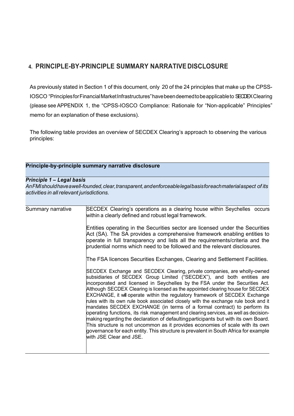# **4. PRINCIPLE-BY-PRINCIPLE SUMMARY NARRATIVE DISCLOSURE**

As previously stated in Section 1 of this document, only 20 of the 24 principles that make up the CPSS-IOSCO "PrinciplesforFinancialMarketInfrastructures" have been deemed to be applicable to SECDEX Clearing (please see APPENDIX 1, the "CPSS-IOSCO Compliance: Rationale for "Non-applicable" Principles" memo for an explanation of these exclusions).

The following table provides an overview of SECDEX Clearing's approach to observing the various principles:

### **Principle-by-principle summary narrative disclosure**

#### *Principle 1 – Legal basis*

*AnFMIshouldhaveawell-founded,clear,transparent,andenforceablelegalbasisforeachmaterialaspect of its activities in all relevant jurisdictions.*

| SECDEX Clearing's operations as a clearing house within Seychelles occurs<br>within a clearly defined and robust legal framework.                                                                                                                                                                                                                                                                                                                                                                                                                                                                                                                                                                                                                                                                                                                                                                                                                        |
|----------------------------------------------------------------------------------------------------------------------------------------------------------------------------------------------------------------------------------------------------------------------------------------------------------------------------------------------------------------------------------------------------------------------------------------------------------------------------------------------------------------------------------------------------------------------------------------------------------------------------------------------------------------------------------------------------------------------------------------------------------------------------------------------------------------------------------------------------------------------------------------------------------------------------------------------------------|
| Entities operating in the Securities sector are licensed under the Securities<br>Act (SA). The SA provides a comprehensive framework enabling entities to<br>operate in full transparency and lists all the requirements/criteria and the<br>prudential norms which need to be followed and the relevant disclosures.                                                                                                                                                                                                                                                                                                                                                                                                                                                                                                                                                                                                                                    |
| The FSA licences Securities Exchanges, Clearing and Settlement Facilities.                                                                                                                                                                                                                                                                                                                                                                                                                                                                                                                                                                                                                                                                                                                                                                                                                                                                               |
| SECDEX Exchange and SECDEX Clearing, private companies, are wholly-owned<br>subsidiaries of SECDEX Group Limited ("SECDEX"), and both entities are<br>incorporated and licensed in Seychelles by the FSA under the Securities Act.<br>Although SECDEX Clearing is licensed as the appointed clearing house for SECDEX<br>EXCHANGE, it will operate within the regulatory framework of SECDEX Exchange<br>rules with its own rule book associated closely with the exchange rule book and it<br>mandates SECDEX EXCHANGE (in terms of a formal contract) to perform its<br>operating functions, its risk management and clearing services, as well as decision-<br>making regarding the declaration of defaulting participants but with its own Board.<br>This structure is not uncommon as it provides economies of scale with its own<br>governance for each entity. This structure is prevalent in South Africa for example<br>with JSE Clear and JSE. |
|                                                                                                                                                                                                                                                                                                                                                                                                                                                                                                                                                                                                                                                                                                                                                                                                                                                                                                                                                          |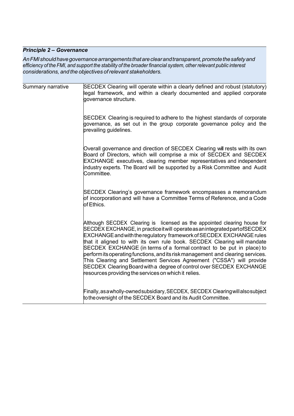# *Principle 2 – Governance*

An FMI should have governance arrangements that are clear and transparent, promote the safety and efficiency of the FMI, and support the stability of the broader financial system, other relevant public interest *considerations, and the objectives ofrelevant stakeholders.*

| Summary narrative | SECDEX Clearing will operate within a clearly defined and robust (statutory)<br>legal framework, and within a clearly documented and applied corporate<br>governance structure.                                                                                                                                                                                                                                                                                                                                                                                                                                                                                                |
|-------------------|--------------------------------------------------------------------------------------------------------------------------------------------------------------------------------------------------------------------------------------------------------------------------------------------------------------------------------------------------------------------------------------------------------------------------------------------------------------------------------------------------------------------------------------------------------------------------------------------------------------------------------------------------------------------------------|
|                   | SECDEX Clearing is required to adhere to the highest standards of corporate<br>governance, as set out in the group corporate governance policy and the<br>prevailing guidelines.                                                                                                                                                                                                                                                                                                                                                                                                                                                                                               |
|                   | Overall governance and direction of SECDEX Clearing will rests with its own<br>Board of Directors, which will comprise a mix of SECDEX and SECDEX<br>EXCHANGE executives, clearing member representatives and independent<br>industry experts. The Board will be supported by a Risk Committee and Audit<br>Committee.                                                                                                                                                                                                                                                                                                                                                         |
|                   | SECDEX Clearing's governance framework encompasses a memorandum<br>of incorporation and will have a Committee Terms of Reference, and a Code<br>of Ethics.                                                                                                                                                                                                                                                                                                                                                                                                                                                                                                                     |
|                   | Although SECDEX Clearing is licensed as the appointed clearing house for<br>SECDEX EXCHANGE, in practice it will operate as an integrated part of SECDEX<br>EXCHANGE and with the regulatory framework of SECDEX EXCHANGE rules<br>that it aligned to with its own rule book. SECDEX Clearing will mandate<br>SECDEX EXCHANGE (in terms of a formal contract to be put in place) to<br>perform its operating functions, and its risk management and clearing services.<br>This Clearing and Settlement Services Agreement ("CSSA") will provide<br>SECDEX Clearing Board with a degree of control over SECDEX EXCHANGE<br>resources providing the services on which it relies. |
|                   | Finally, as a wholly-owned subsidiary, SECDEX, SECDEX Clearing will also subject<br>to the oversight of the SECDEX Board and its Audit Committee.                                                                                                                                                                                                                                                                                                                                                                                                                                                                                                                              |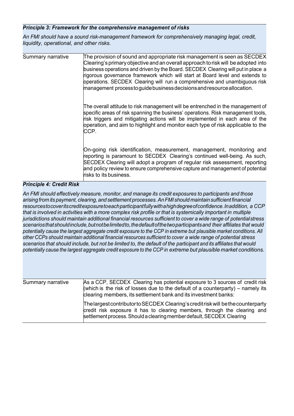## *Principle 3: Framework for the comprehensive management of risks*

*An FMI should have a sound risk-management framework for comprehensively managing legal, credit, liquidity, operational, and other risks.*

| Summary narrative | The provision of sound and appropriate risk management is seen as SECDEX<br>Clearing's primary objective and an overall approach to risk will be adopted into<br>business operations and driven by the Board. SECDEX Clearing will put in place a<br>rigorous governance framework which will start at Board level and extends to<br>operations. SECDEX Clearing will run a comprehensive and unambiguous risk<br>management processtoguide business decisions and resource allocation. |
|-------------------|-----------------------------------------------------------------------------------------------------------------------------------------------------------------------------------------------------------------------------------------------------------------------------------------------------------------------------------------------------------------------------------------------------------------------------------------------------------------------------------------|
|                   | The overall attitude to risk management will be entrenched in the management of<br>specific areas of risk spanning the business' operations. Risk management tools,<br>risk triggers and mitigating actions will be implemented in each area of the<br>operation, and aim to highlight and monitor each type of risk applicable to the<br>CCP.                                                                                                                                          |
|                   | On-going risk identification, measurement, management, monitoring and<br>reporting is paramount to SECDEX Clearing's continued well-being. As such,<br>SECDEX Clearing will adopt a program of regular risk assessment, reporting<br>and policy review to ensure comprehensive capture and management of potential<br>risks to its business.                                                                                                                                            |

## *Principle 4: Credit Risk*

*An FMI should effectively measure, monitor, and manage its credit exposures to participants and those arising from its payment, clearing, and settlement processes.AnFMI should maintain sufficient financial resourcestocoveritscreditexposuretoeachparticipantfullywithahighdegreeofconfidence.Inaddition, a CCP* that is involved in activities with a more complex risk profile or that is systemically important in multiple *jurisdictions should maintain additional financial resources sufficient to cover a wide range of potentialstress scenariosthatshouldinclude,butnotbelimitedto,thedefaultofthetwoparticipantsand their affiliates that would* potentially cause the largest aggregate credit exposure to the CCP in extreme but plausible market conditions. All *other CCPs should maintain additional financial resources sufficient to cover a wide range of potential stress* scenarios that should include, but not be limited to, the default of the participant and its affiliates that would *potentially cause the largest aggregate credit exposure to the CCP in extreme but plausible market conditions.*

| Summary narrative | As a CCP, SECDEX Clearing has potential exposure to 3 sources of credit risk<br>(which is the risk of losses due to the default of a counterparty) – namely its<br>clearing members, its settlement bank and its investment banks:      |
|-------------------|-----------------------------------------------------------------------------------------------------------------------------------------------------------------------------------------------------------------------------------------|
|                   | The largest contributor to SECDEX Clearing's credit risk will be the counterparty<br>credit risk exposure it has to clearing members, through the clearing and<br>settlement process. Should a clearing member default, SECDEX Clearing |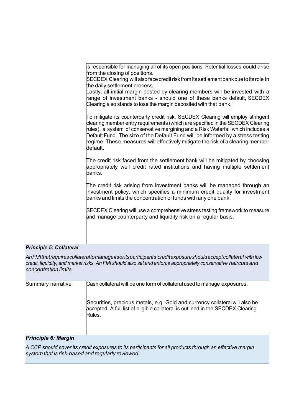is responsible for managing all of its open positions. Potential losses could arise from the closing of positions.

SECDEX Clearing will also face credit risk from its settlement bank due to its role in the daily settlement process.

Lastly, all initial margin posted by clearing members will be invested with a range of investment banks - should one of these banks default, SECDEX Clearing also stands to lose the margin deposited with that bank.

To mitigate its counterparty credit risk, SECDEX Clearing will employ stringent clearing member entry requirements (which are specified in the SECDEX Clearing rules), a system of conservative margining and a Risk Waterfall which includes a Default Fund. The size of the Default Fund will be informed by a stress testing regime. These measures will effectively mitigate the risk of a clearing member default.

The credit risk faced from the settlement bank will be mitigated by choosing appropriately well credit rated institutions and having multiple settlement banks.

The credit risk arising from investment banks will be managed through an investment policy, which specifies a minimum credit quality for investment banks and limits the concentration of funds with any one bank.

SECDEX Clearing will use a comprehensive stress testing framework to measure and manage counterparty and liquidity risk on a regular basis.

#### *Principle 5: Collateral*

*AnFMIthatrequirescollateraltomanageitsoritsparticipants'creditexposureshouldacceptcollateral with low credit, liquidity, and market risks. An FMI should also set and enforce appropriately conservative haircuts and concentration limits.*

| Summary narrative | Cash collateral will be one form of collateral used to manage exposures.                                                                                                 |
|-------------------|--------------------------------------------------------------------------------------------------------------------------------------------------------------------------|
|                   | Securities, precious metals, e.g. Gold and currency collateral will also be<br>accepted. A full list of eligible collateral is outlined in the SECDEX Clearing<br>Rules. |

### *Principle 6: Margin*

*A CCP should cover its credit exposures to its participants for all products through an effective margin system that is risk-based and regularly reviewed.*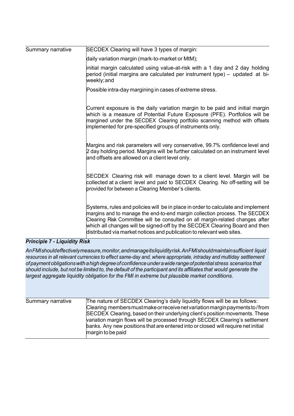| Summary narrative            | SECDEX Clearing will have 3 types of margin:                                                                                                                                                                                                                                                                                                                                                           |
|------------------------------|--------------------------------------------------------------------------------------------------------------------------------------------------------------------------------------------------------------------------------------------------------------------------------------------------------------------------------------------------------------------------------------------------------|
|                              | daily variation margin (mark-to-market or MtM);                                                                                                                                                                                                                                                                                                                                                        |
|                              | initial margin calculated using value-at-risk with a 1 day and 2 day holding<br>period (initial margins are calculated per instrument type) – updated at bi-<br>weekly; and                                                                                                                                                                                                                            |
|                              | Possible intra-day margining in cases of extreme stress.                                                                                                                                                                                                                                                                                                                                               |
|                              | Current exposure is the daily variation margin to be paid and initial margin<br>which is a measure of Potential Future Exposure (PFE). Portfolios will be<br>margined under the SECDEX Clearing portfolio scanning method with offsets<br>implemented for pre-specified groups of instruments only.                                                                                                    |
|                              | Margins and risk parameters will very conservative, 99.7% confidence level and<br>2 day holding period. Margins will be further calculated on an instrument level<br>and offsets are allowed on a client level only.                                                                                                                                                                                   |
|                              | SECDEX Clearing risk will manage down to a client level. Margin will be<br>collected at a client level and paid to SECDEX Clearing. No off-setting will be<br>provided for between a Clearing Member's clients.                                                                                                                                                                                        |
|                              | Systems, rules and policies will be in place in order to calculate and implement<br>margins and to manage the end-to-end margin collection process. The SECDEX<br>Clearing Risk Committee will be consulted on all margin-related changes after<br>which all changes will be signed-off by the SECDEX Clearing Board and then<br>distributed via market notices and publication to relevant web sites. |
| Principle 7 - Liquidity Risk |                                                                                                                                                                                                                                                                                                                                                                                                        |

## *Principle 7 - Liquidity Risk*

*AnFMIshouldeffectivelymeasure,monitor,andmanageitsliquidityrisk.AnFMIshouldmaintainsufficient liquid resources in all relevant currencies to effect same-day and, where appropriate, intraday and multiday settlement ofpaymentobligationswithahighdegreeofconfidenceunderawiderangeofpotentialstress scenarios that* should include, but not be limited to, the default of the participant and its affiliates that would generate the *largest aggregate liquidity obligation for the FMI in extreme but plausible market conditions.*

| Summary narrative | The nature of SECDEX Clearing's daily liquidity flows will be as follows:<br>Clearing members must make or receive net variation margin payments to/from<br>SECDEX Clearing, based on their underlying client's position movements. These<br>variation margin flows will be processed through SECDEX Clearing's settlement<br>banks. Any new positions that are entered into or closed will require net initial<br>margin to be paid |
|-------------------|--------------------------------------------------------------------------------------------------------------------------------------------------------------------------------------------------------------------------------------------------------------------------------------------------------------------------------------------------------------------------------------------------------------------------------------|
|                   |                                                                                                                                                                                                                                                                                                                                                                                                                                      |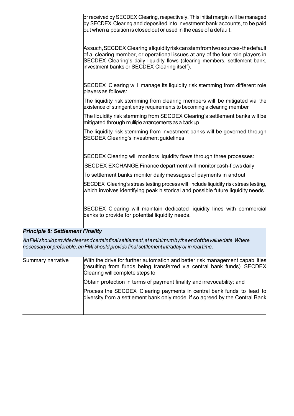|                                         | or received by SECDEX Clearing, respectively. This initial margin will be managed<br>by SECDEX Clearing and deposited into investment bank accounts, to be paid<br>out when a position is closed out or used in the case of a default.                                                   |
|-----------------------------------------|------------------------------------------------------------------------------------------------------------------------------------------------------------------------------------------------------------------------------------------------------------------------------------------|
|                                         | Assuch, SECDEX Clearing'sliquidityriskcanstemfromtwosources-the default<br>of a clearing member, or operational issues at any of the four role players in<br>SECDEX Clearing's daily liquidity flows (clearing members, settlement bank,<br>investment banks or SECDEX Clearing itself). |
|                                         | SECDEX Clearing will manage its liquidity risk stemming from different role<br>players as follows:                                                                                                                                                                                       |
|                                         | The liquidity risk stemming from clearing members will be mitigated via the<br>existence of stringent entry requirements to becoming a clearing member                                                                                                                                   |
|                                         | The liquidity risk stemming from SECDEX Clearing's settlement banks will be<br>mitigated through multiple arrangements as a back up                                                                                                                                                      |
|                                         | The liquidity risk stemming from investment banks will be governed through<br><b>SECDEX Clearing's investment guidelines</b>                                                                                                                                                             |
|                                         | SECDEX Clearing will monitors liquidity flows through three processes:                                                                                                                                                                                                                   |
|                                         | SECDEX EXCHANGE Finance department will monitor cash-flows daily                                                                                                                                                                                                                         |
|                                         | To settlement banks monitor daily messages of payments in andout                                                                                                                                                                                                                         |
|                                         | SECDEX Clearing's stress testing process will include liquidity risk stress testing,<br>which involves identifying peak historical and possible future liquidity needs                                                                                                                   |
|                                         | SECDEX Clearing will maintain dedicated liquidity lines with commercial<br>banks to provide for potential liquidity needs.                                                                                                                                                               |
| <b>Principle 8: Settlement Finality</b> |                                                                                                                                                                                                                                                                                          |

*AnFMIshouldprovideclearandcertainfinalsettlement,ataminimumbytheendofthevaluedate.Where necessary or preferable, an FMI should provide final settlement intraday orin real time.*

| Summary narrative | With the drive for further automation and better risk management capabilities<br>(resulting from funds being transferred via central bank funds) SECDEX<br>Clearing will complete steps to: |
|-------------------|---------------------------------------------------------------------------------------------------------------------------------------------------------------------------------------------|
|                   | Obtain protection in terms of payment finality and irrevocability; and                                                                                                                      |
|                   | Process the SECDEX Clearing payments in central bank funds to lead to<br>diversity from a settlement bank only model if so agreed by the Central Bank                                       |
|                   |                                                                                                                                                                                             |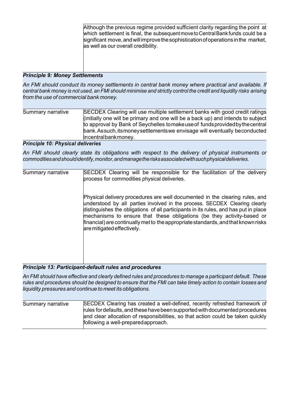Although the previous regime provided sufficient clarity regarding the point at which settlement is final, the subsequent move to Central Bank funds could be a  $\sin$  isignificant move, and will improve the sophistication of operations in the market, as well as our overall credibility.

#### *Principle 9: Money Settlements*

*An FMI should conduct its money settlements in central bank money where practical and available. If*  central bank money is not used, an FMI should minimise and strictly control the credit and liquidity risks arising *from the use of commercial bank money.*

| Summary narrative | SECDEX Clearing will use multiple settlement banks with good credit ratings      |
|-------------------|----------------------------------------------------------------------------------|
|                   | (initially one will be primary and one will be a back up) and intends to subject |
|                   | to approval by Bank of Seychelles to make use of funds provided by the central   |
|                   | bank. Assuch, its money settlements we envisage will eventually beconducted      |
|                   | incentralbankmoney.                                                              |

#### *Principle 10: Physical deliveries*

*An FMI should clearly state its obligations with respect to the delivery of physical instruments or commoditiesandshouldidentify,monitor,andmanagetherisksassociatedwithsuchphysicaldeliveries.*

| Summary narrative | SECDEX Clearing will be responsible for the facilitation of the delivery<br>process for commodities physical deliveries.                                                                                                                                                                                                                                                                                                                       |
|-------------------|------------------------------------------------------------------------------------------------------------------------------------------------------------------------------------------------------------------------------------------------------------------------------------------------------------------------------------------------------------------------------------------------------------------------------------------------|
|                   | Physical delivery procedures are well documented in the clearing rules, and<br>understood by all parties involved in the process. SECDEX Clearing clearly<br>distinguishes the obligations of all participants in its rules, and has put in place<br>mechanisms to ensure that these obligations (be they activity-based or<br>financial) are continually met to the appropriate standards, and that known risks<br>are mitigated effectively. |
|                   |                                                                                                                                                                                                                                                                                                                                                                                                                                                |

## *Principle 13: Participant-default rules and procedures*

*An FMI should have effective and clearly defined rules and procedures to manage a participant default. These* rules and procedures should be designed to ensure that the FMI can take timely action to contain losses and *liquidity pressures and continue to meet its obligations.*

| Summary narrative | SECDEX Clearing has created a well-defined, recently refreshed framework of     |
|-------------------|---------------------------------------------------------------------------------|
|                   | rules for defaults, and these have been supported with documented procedures    |
|                   | and clear allocation of responsibilities, so that action could be taken quickly |
|                   | following a well-prepared approach.                                             |
|                   |                                                                                 |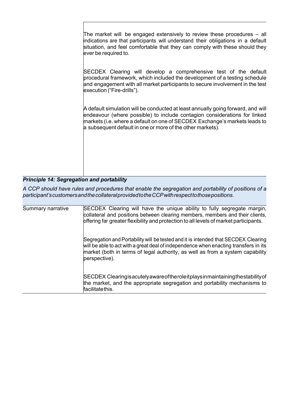The market will be engaged extensively to review these procedures – all indications are that participants will understand their obligations in a default situation, and feel comfortable that they can comply with these should they ever be required to.

SECDEX Clearing will develop a comprehensive test of the default procedural framework, which included the development of a testing schedule and engagement with all market participants to secure involvement in the test execution ("Fire-drills").

A default simulation will be conducted at least annually going forward, and will endeavour (where possible) to include contagion considerations for linked markets (i.e. where a default on one of SECDEX Exchange's markets leads to a subsequent default in one or more of the other markets).

## *Principle 14: Segregation and portability*

*A CCP should have rules and procedures that enable the segregation and portability of positions of a participant'scustomersandthecollateralprovidedtotheCCPwithrespecttothosepositions.*

| Summary narrative | SECDEX Clearing will have the unique ability to fully segregate margin,<br>collateral and positions between clearing members, members and their clients,<br>offering far greater flexibility and protection to all levels of market participants.                            |
|-------------------|------------------------------------------------------------------------------------------------------------------------------------------------------------------------------------------------------------------------------------------------------------------------------|
|                   | Segregation and Portability will be tested and it is intended that SECDEX Clearing<br>will be able to act with a great deal of independence when enacting transfers in its<br>market (both in terms of legal authority, as well as from a system capability<br>perspective). |
|                   | SECDEX Clearing is acutely aware of the role it plays in maintaining the stability of<br>the market, and the appropriate segregation and portability mechanisms to<br>facilitatethis.                                                                                        |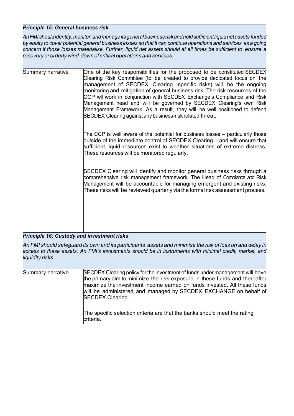### *Principle 15: General business risk*

*AnFMIshouldidentify,monitor,andmanageitsgeneralbusinessriskandholdsufficientliquidnetassets funded* by equity to cover potential general business losses so that it can continue operations and services as a going concern if those losses materialise. Further, liquid net assets should at all times be sufficient to ensure a *recovery or orderly wind-down of critical operations and services.*

| Summary narrative | One of the key responsibilities for the proposed to be constituted SECDEX<br>Clearing Risk Committee (to be created to provide dedicated focus on the<br>management of SECDEX Clearing -specific risks) will be the ongoing<br>monitoring and mitigation of general business risk. The risk resources of the<br>CCP will work in conjunction with SECDEX Exchange's Compliance and Risk<br>Management head and will be governed by SECDEX Clearing's own Risk<br>Management Framework. As a result, they will be well positioned to defend<br>SECDEX Clearing against any business-risk related threat. |
|-------------------|---------------------------------------------------------------------------------------------------------------------------------------------------------------------------------------------------------------------------------------------------------------------------------------------------------------------------------------------------------------------------------------------------------------------------------------------------------------------------------------------------------------------------------------------------------------------------------------------------------|
|                   | The CCP is well aware of the potential for business losses – particularly those<br>outside of the immediate control of SECDEX Clearing – and will ensure that<br>sufficient liquid resources exist to weather situations of extreme distress.<br>These resources will be monitored regularly.                                                                                                                                                                                                                                                                                                           |
|                   | SECDEX Clearing will identify and monitor general business risks through a<br>comprehensive risk management framework. The Head of Compliance and Risk<br>Management will be accountable for managing emergent and existing risks.<br>These risks will be reviewed quarterly via the formal risk assessment process.                                                                                                                                                                                                                                                                                    |

#### *Principle 16: Custody and investment risks*

An FMI should safeguard its own and its participants' assets and minimise the risk of loss on and delay in *access to these assets. An FMI's investments should be in instruments with minimal credit, market, and liquidity risks.*

| Summary narrative | SECDEX Clearing policy for the investment of funds under management will have<br>the primary aim to minimize the risk exposure in these funds and thereafter<br>maximize the investment income earned on funds invested. All these funds<br>will be administered and managed by SECDEX EXCHANGE on behalf of<br><b>SECDEX Clearing.</b> |
|-------------------|-----------------------------------------------------------------------------------------------------------------------------------------------------------------------------------------------------------------------------------------------------------------------------------------------------------------------------------------|
|                   | The specific selection criteria are that the banks should meet the rating<br>criteria.                                                                                                                                                                                                                                                  |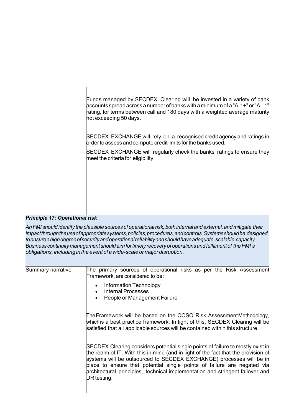| Funds managed by SECDEX Clearing will be invested in a variety of bank<br>accounts spread across a number of banks with a minimum of a "A-1+" or "A- 1"<br>rating, for terms between call and 180 days with a weighted average maturity<br>not exceeding 50 days. |
|-------------------------------------------------------------------------------------------------------------------------------------------------------------------------------------------------------------------------------------------------------------------|
| SECDEX EXCHANGE will rely on a recognised credit agency and ratings in<br>order to assess and compute credit limits for the banks used.                                                                                                                           |
| SECDEX EXCHANGE will regularly check the banks' ratings to ensure they<br>meet the criteria for eligibility.                                                                                                                                                      |
|                                                                                                                                                                                                                                                                   |
|                                                                                                                                                                                                                                                                   |
|                                                                                                                                                                                                                                                                   |

# *Principle 17: Operational risk*

*AnFMI should identify the plausible sources of operationalrisk, both internal and external, and mitigate their impactthroughtheuseofappropriatesystems,policies,procedures,andcontrols.Systemsshouldbe designed toensureahighdegreeofsecurityandoperationalreliabilityandshouldhaveadequate,scalable capacity. Business continuity management should aimfortimely recoveryof operationsand fulfilment of theFMI's obligations, includingin the event of awide-scale or majordisruption.*

| Summary narrative | The primary sources of operational risks as per the Risk Assessment<br>Framework, are considered to be:                                                                                                                                                                                                                                                                                                                 |
|-------------------|-------------------------------------------------------------------------------------------------------------------------------------------------------------------------------------------------------------------------------------------------------------------------------------------------------------------------------------------------------------------------------------------------------------------------|
|                   | Information Technology<br>$\bullet$<br><b>Internal Processes</b><br>People or Management Failure<br>$\bullet$                                                                                                                                                                                                                                                                                                           |
|                   | The Framework will be based on the COSO Risk Assessment Methodology,<br>which is a best practice framework. In light of this, SECDEX Clearing will be<br>satisfied that all applicable sources will be contained within this structure.                                                                                                                                                                                 |
|                   | SECDEX Clearing considers potential single points of failure to mostly exist in<br>the realm of IT. With this in mind (and in light of the fact that the provision of<br>systems will be outsourced to SECDEX EXCHANGE) processes will be in<br>place to ensure that potential single points of failure are negated via<br>architectural principles, technical implementation and stringent failover and<br>DR testing. |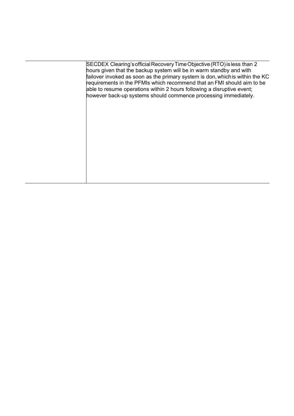| SECDEX Clearing's official Recovery Time Objective (RTO) is less than 2       |
|-------------------------------------------------------------------------------|
| hours given that the backup system will be in warm standby and with           |
| failover invoked as soon as the primary system is don, which is within the KC |
| requirements in the PFMIs which recommend that an FMI should aim to be        |
| able to resume operations within 2 hours following a disruptive event;        |
| however back-up systems should commence processing immediately.               |
|                                                                               |
|                                                                               |
|                                                                               |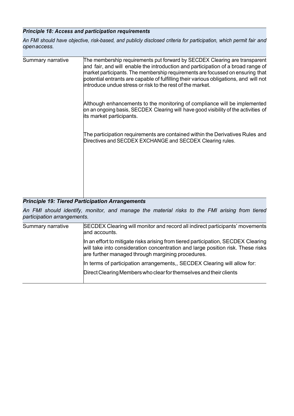# *Principle 18: Access and participation requirements*

*An FMI should have objective, risk-based, and publicly disclosed criteria for participation, which permit fair and openaccess.*

| Summary narrative | The membership requirements put forward by SECDEX Clearing are transparent<br>and fair, and will enable the introduction and participation of a broad range of<br>market participants. The membership requirements are focussed on ensuring that<br>potential entrants are capable of fulfilling their various obligations, and will not<br>introduce undue stress or risk to the rest of the market. |
|-------------------|-------------------------------------------------------------------------------------------------------------------------------------------------------------------------------------------------------------------------------------------------------------------------------------------------------------------------------------------------------------------------------------------------------|
|                   | Although enhancements to the monitoring of compliance will be implemented<br>on an ongoing basis, SECDEX Clearing will have good visibility of the activities of<br>its market participants.                                                                                                                                                                                                          |
|                   | The participation requirements are contained within the Derivatives Rules and<br>Directives and SECDEX EXCHANGE and SECDEX Clearing rules.                                                                                                                                                                                                                                                            |
|                   |                                                                                                                                                                                                                                                                                                                                                                                                       |

#### *Principle 19: Tiered Participation Arrangements*

*An FMI should identify, monitor, and manage the material risks to the FMI arising from tiered participation arrangements.*

| Summary narrative | SECDEX Clearing will monitor and record all indirect participants' movements<br>and accounts.                                                                                                                             |
|-------------------|---------------------------------------------------------------------------------------------------------------------------------------------------------------------------------------------------------------------------|
|                   | In an effort to mitigate risks arising from tiered participation, SECDEX Clearing<br>will take into consideration concentration and large position risk. These risks<br>are further managed through margining procedures. |
|                   | In terms of participation arrangements,, SECDEX Clearing will allow for:                                                                                                                                                  |
|                   | Direct Clearing Members who clear for themselves and their clients                                                                                                                                                        |
|                   |                                                                                                                                                                                                                           |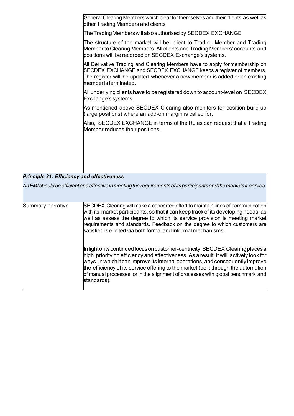General Clearing Members which clear for themselves and their clients as well as other Trading Members and clients

TheTradingMemberswillalsoauthorisedby SECDEX EXCHANGE

The structure of the market will be: client to Trading Member and Trading Member to Clearing Members. All clients and Trading Members' accounts and positions will be recorded on SECDEX Exchange's systems.

All Derivative Trading and Clearing Members have to apply for membership on SECDEX EXCHANGE and SECDEX EXCHANGE keeps a register of members. The register will be updated whenever a new member is added or an existing memberis terminated.

All underlying clients have to be registered down to account-level on SECDEX Exchange's systems.

As mentioned above SECDEX Clearing also monitors for position build-up (large positions) where an add-on margin is called for.

Also, SECDEX EXCHANGE in terms of the Rules can request that a Trading Member reduces their positions.

## *Principle 21: Efficiency and effectiveness*

*AnFMIshouldbeefficientandeffectiveinmeetingtherequirementsofitsparticipantsandthemarketsit serves.*

| Summary narrative | SECDEX Clearing will make a concerted effort to maintain lines of communication<br>with its market participants, so that it can keep track of its developing needs, as<br>well as assess the degree to which its service provision is meeting market<br>requirements and standards. Feedback on the degree to which customers are<br>satisfied is elicited via both formal and informal mechanisms.                                                 |
|-------------------|-----------------------------------------------------------------------------------------------------------------------------------------------------------------------------------------------------------------------------------------------------------------------------------------------------------------------------------------------------------------------------------------------------------------------------------------------------|
|                   | In light of its continued focus on customer-centricity, SECDEX Clearing places a<br>high priority on efficiency and effectiveness. As a result, it will actively look for<br>ways in which it can improve its internal operations, and consequently improve<br>the efficiency of its service offering to the market (be it through the automation<br>of manual processes, or in the alignment of processes with global benchmark and<br>standards). |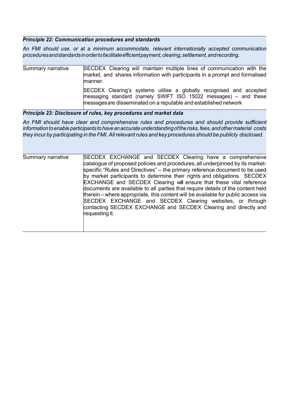# *Principle 22: Communication procedures and standards*

*An FMI should use, or at a minimum accommodate, relevant internationally accepted communication proceduresandstandardsinordertofacilitateefficientpayment,clearing,settlement,andrecording.*

| Summary narrative | SECDEX Clearing will maintain multiple lines of communication with the<br>market, and shares information with participants in a prompt and formalised<br>manner.                                             |
|-------------------|--------------------------------------------------------------------------------------------------------------------------------------------------------------------------------------------------------------|
|                   | SECDEX Clearing's systems utilise a globally recognised and accepted<br>messaging standard (namely SWIFT ISO 15022 messages) – and these<br>messages are disseminated on a reputable and established network |

# *Principle 23: Disclosure of rules, key procedures and market data*

*An FMI should have clear and comprehensive rules and procedures and should provide sufficient informationtoenableparticipants tohaveanaccurateunderstandingoftherisks,fees,andothermaterial costs they incur by participating in the FMI.Allrelevantrules and key procedures should be publicly disclosed.*

| Summary narrative | SECDEX EXCHANGE and SECDEX Clearing have a comprehensive                          |
|-------------------|-----------------------------------------------------------------------------------|
|                   | catalogue of proposed policies and procedures, all underpinned by its market-     |
|                   | specific "Rules and Directives" - the primary reference document to be used       |
|                   | by market participants to determine their rights and obligations. SECDEX          |
|                   | <b>EXCHANGE</b> and <b>SECDEX</b> Clearing will ensure that these vital reference |
|                   | documents are available to all parties that require details of the content held   |
|                   | therein – where appropriate, this content will be available for public access via |
|                   | SECDEX EXCHANGE and SECDEX Clearing websites, or through                          |
|                   | contacting SECDEX EXCHANGE and SECDEX Clearing and directly and                   |
|                   | requesting it.                                                                    |
|                   |                                                                                   |
|                   |                                                                                   |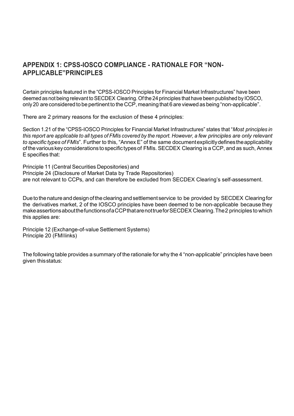# **APPENDIX 1: CPSS-IOSCO COMPLIANCE - RATIONALE FOR "NON-APPLICABLE"PRINCIPLES**

Certain principles featured in the "CPSS-IOSCO Principles for Financial Market Infrastructures" have been deemed as not being relevant to SECDEX Clearing. Of the 24 principles that have been published by IOSCO, only 20 are considered to be pertinent to the CCP, meaning that 6 are viewed as being "non-applicable".

There are 2 primary reasons for the exclusion of these 4 principles:

Section 1.21 of the "CPSS-IOSCO Principles for Financial Market Infrastructures" states that "*Most principles in* this report are applicable to all types of FMIs covered by the report. However, a few principles are only relevant *to specific types of FMIs*". Further to this, "Annex E" of the same documentexplicitlydefinestheapplicability ofthevarious key considerations tospecific types of FMIs. SECDEX Clearing is a CCP, and as such, Annex E specifies that:

Principle 11 (Central Securities Depositories) and Principle 24 (Disclosure of Market Data by Trade Repositories) are not relevant to CCPs, and can therefore be excluded from SECDEX Clearing's self-assessment.

Due to the nature and design of the clearing and settlement service to be provided by SECDEX Clearing for the derivatives market, 2 of the IOSCO principles have been deemed to be non-applicable because they makeassertionsaboutthefunctionsofaCCPthatarenottrueforSECDEX Clearing.The2 principles to which this applies are:

Principle 12 (Exchange-of-value Settlement Systems) Principle 20 (FMIlinks)

The following table provides a summary of the rationale for why the 4 "non-applicable" principles have been given thisstatus: